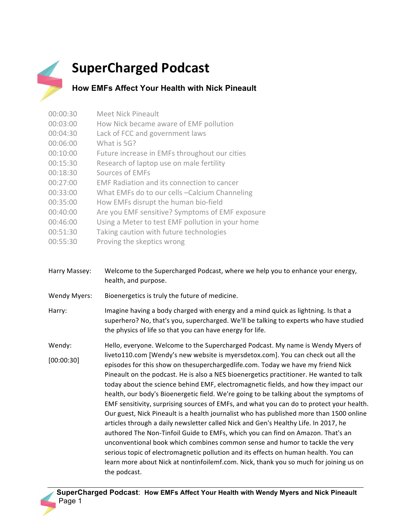## **SuperCharged Podcast**

**How EMFs Affect Your Health with Nick Pineault** 

- 00:03:00 How Nick became aware of EMF pollution 00:04:30 Lack of FCC and government laws 00:06:00 What is 5G? 00:10:00 Future increase in EMFs throughout our cities 00:15:30 Research of laptop use on male fertility 00:18:30 Sources of EMFs 00:27:00 EMF Radiation and its connection to cancer 00:33:00 What EMFs do to our cells -Calcium Channeling 00:35:00 How EMFs disrupt the human bio-field 00:40:00 Are you EMF sensitive? Symptoms of EMF exposure 00:46:00 Using a Meter to test EMF pollution in your home 00:51:30 Taking caution with future technologies
- 00:55:30 Proving the skeptics wrong

00:00:30 Meet Nick Pineault

- Harry Massey: Welcome to the Supercharged Podcast, where we help you to enhance your energy, health, and purpose.
- Wendy Myers: Bioenergetics is truly the future of medicine.
- Harry: Imagine having a body charged with energy and a mind quick as lightning. Is that a superhero? No, that's you, supercharged. We'll be talking to experts who have studied the physics of life so that you can have energy for life.
- Wendy: [00:00:30] Hello, everyone. Welcome to the Supercharged Podcast. My name is Wendy Myers of liveto110.com [Wendy's new website is myersdetox.com]. You can check out all the episodes for this show on thesuperchargedlife.com. Today we have my friend Nick Pineault on the podcast. He is also a NES bioenergetics practitioner. He wanted to talk today about the science behind EMF, electromagnetic fields, and how they impact our health, our body's Bioenergetic field. We're going to be talking about the symptoms of EMF sensitivity, surprising sources of EMFs, and what you can do to protect your health. Our guest, Nick Pineault is a health journalist who has published more than 1500 online articles through a daily newsletter called Nick and Gen's Healthy Life. In 2017, he authored The Non-Tinfoil Guide to EMFs, which you can find on Amazon. That's an unconventional book which combines common sense and humor to tackle the very serious topic of electromagnetic pollution and its effects on human health. You can learn more about Nick at nontinfoilemf.com. Nick, thank you so much for joining us on the podcast.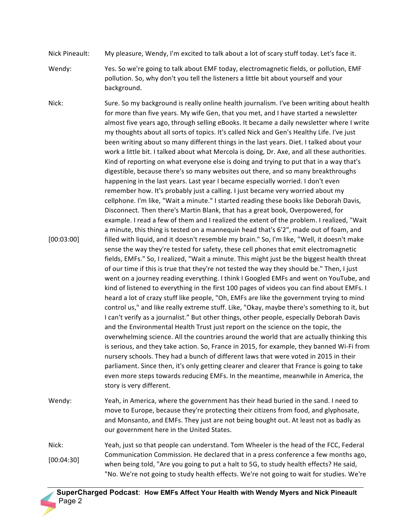- Nick Pineault: My pleasure, Wendy, I'm excited to talk about a lot of scary stuff today. Let's face it.
- Wendy: Yes. So we're going to talk about EMF today, electromagnetic fields, or pollution, EMF pollution. So, why don't you tell the listeners a little bit about yourself and your background.
- Nick: [00:03:00] Sure. So my background is really online health journalism. I've been writing about health for more than five years. My wife Gen, that you met, and I have started a newsletter almost five years ago, through selling eBooks. It became a daily newsletter where I write my thoughts about all sorts of topics. It's called Nick and Gen's Healthy Life. I've just been writing about so many different things in the last years. Diet. I talked about your work a little bit. I talked about what Mercola is doing, Dr. Axe, and all these authorities. Kind of reporting on what everyone else is doing and trying to put that in a way that's digestible, because there's so many websites out there, and so many breakthroughs happening in the last years. Last year I became especially worried. I don't even remember how. It's probably just a calling. I just became very worried about my cellphone. I'm like, "Wait a minute." I started reading these books like Deborah Davis, Disconnect. Then there's Martin Blank, that has a great book, Overpowered, for example. I read a few of them and I realized the extent of the problem. I realized, "Wait a minute, this thing is tested on a mannequin head that's 6'2", made out of foam, and filled with liquid, and it doesn't resemble my brain." So, I'm like, "Well, it doesn't make sense the way they're tested for safety, these cell phones that emit electromagnetic fields, EMFs." So, I realized, "Wait a minute. This might just be the biggest health threat of our time if this is true that they're not tested the way they should be." Then, I just went on a journey reading everything. I think I Googled EMFs and went on YouTube, and kind of listened to everything in the first 100 pages of videos you can find about EMFs. I heard a lot of crazy stuff like people, "Oh, EMFs are like the government trying to mind control us," and like really extreme stuff. Like, "Okay, maybe there's something to it, but I can't verify as a journalist." But other things, other people, especially Deborah Davis and the Environmental Health Trust just report on the science on the topic, the overwhelming science. All the countries around the world that are actually thinking this is serious, and they take action. So, France in 2015, for example, they banned Wi-Fi from nursery schools. They had a bunch of different laws that were voted in 2015 in their parliament. Since then, it's only getting clearer and clearer that France is going to take even more steps towards reducing EMFs. In the meantime, meanwhile in America, the story is very different.
- Wendy: Yeah, in America, where the government has their head buried in the sand. I need to move to Europe, because they're protecting their citizens from food, and glyphosate, and Monsanto, and EMFs. They just are not being bought out. At least not as badly as our government here in the United States.
- Nick: [00:04:30] Yeah, just so that people can understand. Tom Wheeler is the head of the FCC, Federal Communication Commission. He declared that in a press conference a few months ago, when being told, "Are you going to put a halt to 5G, to study health effects? He said, "No. We're not going to study health effects. We're not going to wait for studies. We're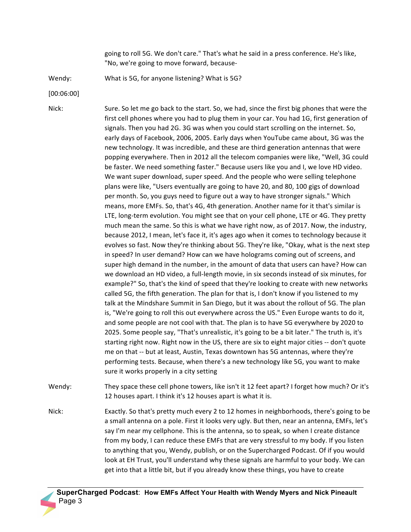going to roll 5G. We don't care." That's what he said in a press conference. He's like, "No, we're going to move forward, because-

Wendy: What is 5G, for anyone listening? What is 5G?

[00:06:00]

Nick: Sure. So let me go back to the start. So, we had, since the first big phones that were the first cell phones where you had to plug them in your car. You had 1G, first generation of signals. Then you had 2G. 3G was when you could start scrolling on the internet. So, early days of Facebook, 2006, 2005. Early days when YouTube came about, 3G was the new technology. It was incredible, and these are third generation antennas that were popping everywhere. Then in 2012 all the telecom companies were like, "Well, 3G could be faster. We need something faster." Because users like you and I, we love HD video. We want super download, super speed. And the people who were selling telephone plans were like, "Users eventually are going to have 20, and 80, 100 gigs of download per month. So, you guys need to figure out a way to have stronger signals." Which means, more EMFs. So, that's 4G, 4th generation. Another name for it that's similar is LTE, long-term evolution. You might see that on your cell phone, LTE or 4G. They pretty much mean the same. So this is what we have right now, as of 2017. Now, the industry, because 2012, I mean, let's face it, it's ages ago when it comes to technology because it evolves so fast. Now they're thinking about 5G. They're like, "Okay, what is the next step in speed? In user demand? How can we have holograms coming out of screens, and super high demand in the number, in the amount of data that users can have? How can we download an HD video, a full-length movie, in six seconds instead of six minutes, for example?" So, that's the kind of speed that they're looking to create with new networks called 5G, the fifth generation. The plan for that is, I don't know if you listened to my talk at the Mindshare Summit in San Diego, but it was about the rollout of 5G. The plan is, "We're going to roll this out everywhere across the US." Even Europe wants to do it, and some people are not cool with that. The plan is to have 5G everywhere by 2020 to 2025. Some people say, "That's unrealistic, it's going to be a bit later." The truth is, it's starting right now. Right now in the US, there are six to eight major cities -- don't quote me on that -- but at least, Austin, Texas downtown has 5G antennas, where they're performing tests. Because, when there's a new technology like 5G, you want to make sure it works properly in a city setting

Wendy: They space these cell phone towers, like isn't it 12 feet apart? I forget how much? Or it's 12 houses apart. I think it's 12 houses apart is what it is.

Nick: Exactly. So that's pretty much every 2 to 12 homes in neighborhoods, there's going to be a small antenna on a pole. First it looks very ugly. But then, near an antenna, EMFs, let's say I'm near my cellphone. This is the antenna, so to speak, so when I create distance from my body, I can reduce these EMFs that are very stressful to my body. If you listen to anything that you, Wendy, publish, or on the Supercharged Podcast. Of if you would look at EH Trust, you'll understand why these signals are harmful to your body. We can get into that a little bit, but if you already know these things, you have to create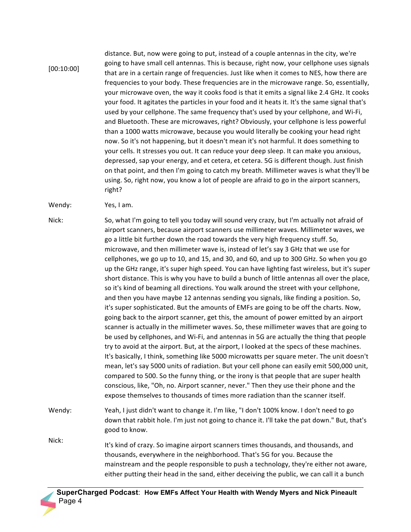## [00:10:00]

distance. But, now were going to put, instead of a couple antennas in the city, we're going to have small cell antennas. This is because, right now, your cellphone uses signals that are in a certain range of frequencies. Just like when it comes to NES, how there are frequencies to your body. These frequencies are in the microwave range. So, essentially, your microwave oven, the way it cooks food is that it emits a signal like 2.4 GHz. It cooks your food. It agitates the particles in your food and it heats it. It's the same signal that's used by your cellphone. The same frequency that's used by your cellphone, and Wi-Fi, and Bluetooth. These are microwaves, right? Obviously, your cellphone is less powerful than a 1000 watts microwave, because you would literally be cooking your head right now. So it's not happening, but it doesn't mean it's not harmful. It does something to your cells. It stresses you out. It can reduce your deep sleep. It can make you anxious, depressed, sap your energy, and et cetera, et cetera. 5G is different though. Just finish on that point, and then I'm going to catch my breath. Millimeter waves is what they'll be using. So, right now, you know a lot of people are afraid to go in the airport scanners, right?

Wendy: Yes, I am.

Nick: So, what I'm going to tell you today will sound very crazy, but I'm actually not afraid of airport scanners, because airport scanners use millimeter waves. Millimeter waves, we go a little bit further down the road towards the very high frequency stuff. So, microwave, and then millimeter wave is, instead of let's say 3 GHz that we use for cellphones, we go up to 10, and 15, and 30, and 60, and up to 300 GHz. So when you go up the GHz range, it's super high speed. You can have lighting fast wireless, but it's super short distance. This is why you have to build a bunch of little antennas all over the place, so it's kind of beaming all directions. You walk around the street with your cellphone, and then you have maybe 12 antennas sending you signals, like finding a position. So, it's super sophisticated. But the amounts of EMFs are going to be off the charts. Now, going back to the airport scanner, get this, the amount of power emitted by an airport scanner is actually in the millimeter waves. So, these millimeter waves that are going to be used by cellphones, and Wi-Fi, and antennas in 5G are actually the thing that people try to avoid at the airport. But, at the airport, I looked at the specs of these machines. It's basically, I think, something like 5000 microwatts per square meter. The unit doesn't mean, let's say 5000 units of radiation. But your cell phone can easily emit 500,000 unit, compared to 500. So the funny thing, or the irony is that people that are super health conscious, like, "Oh, no. Airport scanner, never." Then they use their phone and the expose themselves to thousands of times more radiation than the scanner itself.

Wendy: Yeah, I just didn't want to change it. I'm like, "I don't 100% know. I don't need to go down that rabbit hole. I'm just not going to chance it. I'll take the pat down." But, that's good to know.

Nick: It's kind of crazy. So imagine airport scanners times thousands, and thousands, and thousands, everywhere in the neighborhood. That's 5G for you. Because the mainstream and the people responsible to push a technology, they're either not aware, either putting their head in the sand, either deceiving the public, we can call it a bunch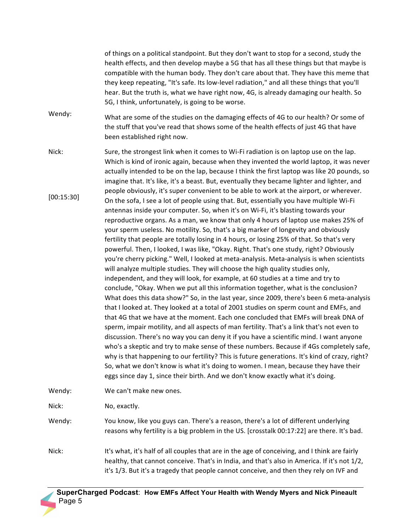of things on a political standpoint. But they don't want to stop for a second, study the health effects, and then develop maybe a 5G that has all these things but that maybe is compatible with the human body. They don't care about that. They have this meme that they keep repeating, "It's safe. Its low-level radiation," and all these things that you'll hear. But the truth is, what we have right now, 4G, is already damaging our health. So 5G, I think, unfortunately, is going to be worse.

Wendy: What are some of the studies on the damaging effects of 4G to our health? Or some of the stuff that you've read that shows some of the health effects of just 4G that have been established right now.

Nick: [00:15:30] Sure, the strongest link when it comes to Wi-Fi radiation is on laptop use on the lap. Which is kind of ironic again, because when they invented the world laptop, it was never actually intended to be on the lap, because I think the first laptop was like 20 pounds, so imagine that. It's like, it's a beast. But, eventually they became lighter and lighter, and people obviously, it's super convenient to be able to work at the airport, or wherever. On the sofa, I see a lot of people using that. But, essentially you have multiple Wi-Fi antennas inside your computer. So, when it's on Wi-Fi, it's blasting towards your reproductive organs. As a man, we know that only 4 hours of laptop use makes 25% of your sperm useless. No motility. So, that's a big marker of longevity and obviously fertility that people are totally losing in 4 hours, or losing 25% of that. So that's very powerful. Then, I looked, I was like, "Okay. Right. That's one study, right? Obviously you're cherry picking." Well, I looked at meta-analysis. Meta-analysis is when scientists will analyze multiple studies. They will choose the high quality studies only, independent, and they will look, for example, at 60 studies at a time and try to conclude, "Okay. When we put all this information together, what is the conclusion? What does this data show?" So, in the last year, since 2009, there's been 6 meta-analysis that I looked at. They looked at a total of 2001 studies on sperm count and EMFs, and that 4G that we have at the moment. Each one concluded that EMFs will break DNA of sperm, impair motility, and all aspects of man fertility. That's a link that's not even to discussion. There's no way you can deny it if you have a scientific mind. I want anyone who's a skeptic and try to make sense of these numbers. Because if 4Gs completely safe, why is that happening to our fertility? This is future generations. It's kind of crazy, right? So, what we don't know is what it's doing to women. I mean, because they have their eggs since day 1, since their birth. And we don't know exactly what it's doing.

Wendy: We can't make new ones.

Nick: No, exactly.

- Wendy: You know, like you guys can. There's a reason, there's a lot of different underlying reasons why fertility is a big problem in the US. [crosstalk 00:17:22] are there. It's bad.
- Nick: It's what, it's half of all couples that are in the age of conceiving, and I think are fairly healthy, that cannot conceive. That's in India, and that's also in America. If it's not 1/2, it's 1/3. But it's a tragedy that people cannot conceive, and then they rely on IVF and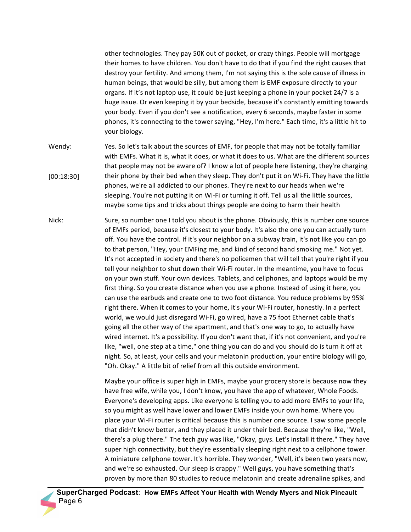other technologies. They pay 50K out of pocket, or crazy things. People will mortgage their homes to have children. You don't have to do that if you find the right causes that destroy your fertility. And among them, I'm not saying this is the sole cause of illness in human beings, that would be silly, but among them is EMF exposure directly to your organs. If it's not laptop use, it could be just keeping a phone in your pocket 24/7 is a huge issue. Or even keeping it by your bedside, because it's constantly emitting towards your body. Even if you don't see a notification, every 6 seconds, maybe faster in some phones, it's connecting to the tower saying, "Hey, I'm here." Each time, it's a little hit to your biology.

- Wendy: [00:18:30] Yes. So let's talk about the sources of EMF, for people that may not be totally familiar with EMFs. What it is, what it does, or what it does to us. What are the different sources that people may not be aware of? I know a lot of people here listening, they're charging their phone by their bed when they sleep. They don't put it on Wi-Fi. They have the little phones, we're all addicted to our phones. They're next to our heads when we're sleeping. You're not putting it on Wi-Fi or turning it off. Tell us all the little sources, maybe some tips and tricks about things people are doing to harm their health
- Nick: Sure, so number one I told you about is the phone. Obviously, this is number one source of EMFs period, because it's closest to your body. It's also the one you can actually turn off. You have the control. If it's your neighbor on a subway train, it's not like you can go to that person, "Hey, your EMFing me, and kind of second hand smoking me." Not yet. It's not accepted in society and there's no policemen that will tell that you're right if you tell your neighbor to shut down their Wi-Fi router. In the meantime, you have to focus on your own stuff. Your own devices. Tablets, and cellphones, and laptops would be my first thing. So you create distance when you use a phone. Instead of using it here, you can use the earbuds and create one to two foot distance. You reduce problems by 95% right there. When it comes to your home, it's your Wi-Fi router, honestly. In a perfect world, we would just disregard Wi-Fi, go wired, have a 75 foot Ethernet cable that's going all the other way of the apartment, and that's one way to go, to actually have wired internet. It's a possibility. If you don't want that, if it's not convenient, and you're like, "well, one step at a time," one thing you can do and you should do is turn it off at night. So, at least, your cells and your melatonin production, your entire biology will go, "Oh. Okay." A little bit of relief from all this outside environment.

Maybe your office is super high in EMFs, maybe your grocery store is because now they have free wife, while you, I don't know, you have the app of whatever, Whole Foods. Everyone's developing apps. Like everyone is telling you to add more EMFs to your life, so you might as well have lower and lower EMFs inside your own home. Where you place your Wi-Fi router is critical because this is number one source. I saw some people that didn't know better, and they placed it under their bed. Because they're like, "Well, there's a plug there." The tech guy was like, "Okay, guys. Let's install it there." They have super high connectivity, but they're essentially sleeping right next to a cellphone tower. A miniature cellphone tower. It's horrible. They wonder, "Well, it's been two years now, and we're so exhausted. Our sleep is crappy." Well guys, you have something that's proven by more than 80 studies to reduce melatonin and create adrenaline spikes, and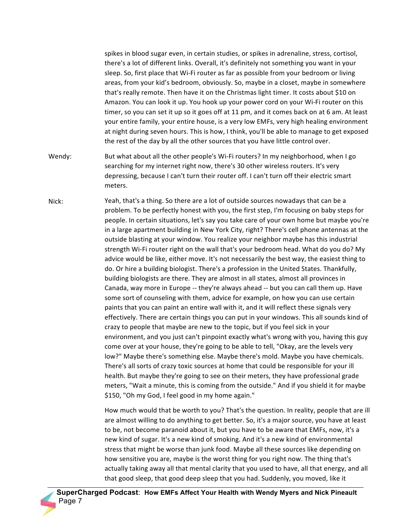spikes in blood sugar even, in certain studies, or spikes in adrenaline, stress, cortisol, there's a lot of different links. Overall, it's definitely not something you want in your sleep. So, first place that Wi-Fi router as far as possible from your bedroom or living areas, from your kid's bedroom, obviously. So, maybe in a closet, maybe in somewhere that's really remote. Then have it on the Christmas light timer. It costs about \$10 on Amazon. You can look it up. You hook up your power cord on your Wi-Fi router on this timer, so you can set it up so it goes off at 11 pm, and it comes back on at 6 am. At least your entire family, your entire house, is a very low EMFs, very high healing environment at night during seven hours. This is how, I think, you'll be able to manage to get exposed the rest of the day by all the other sources that you have little control over.

Wendy: But what about all the other people's Wi-Fi routers? In my neighborhood, when I go searching for my internet right now, there's 30 other wireless routers. It's very depressing, because I can't turn their router off. I can't turn off their electric smart meters.

Nick: Yeah, that's a thing. So there are a lot of outside sources nowadays that can be a problem. To be perfectly honest with you, the first step, I'm focusing on baby steps for people. In certain situations, let's say you take care of your own home but maybe you're in a large apartment building in New York City, right? There's cell phone antennas at the outside blasting at your window. You realize your neighbor maybe has this industrial strength Wi-Fi router right on the wall that's your bedroom head. What do you do? My advice would be like, either move. It's not necessarily the best way, the easiest thing to do. Or hire a building biologist. There's a profession in the United States. Thankfully, building biologists are there. They are almost in all states, almost all provinces in Canada, way more in Europe -- they're always ahead -- but you can call them up. Have some sort of counseling with them, advice for example, on how you can use certain paints that you can paint an entire wall with it, and it will reflect these signals very effectively. There are certain things you can put in your windows. This all sounds kind of crazy to people that maybe are new to the topic, but if you feel sick in your environment, and you just can't pinpoint exactly what's wrong with you, having this guy come over at your house, they're going to be able to tell, "Okay, are the levels very low?" Maybe there's something else. Maybe there's mold. Maybe you have chemicals. There's all sorts of crazy toxic sources at home that could be responsible for your ill health. But maybe they're going to see on their meters, they have professional grade meters, "Wait a minute, this is coming from the outside." And if you shield it for maybe \$150, "Oh my God, I feel good in my home again."

> How much would that be worth to you? That's the question. In reality, people that are ill are almost willing to do anything to get better. So, it's a major source, you have at least to be, not become paranoid about it, but you have to be aware that EMFs, now, it's a new kind of sugar. It's a new kind of smoking. And it's a new kind of environmental stress that might be worse than junk food. Maybe all these sources like depending on how sensitive you are, maybe is the worst thing for you right now. The thing that's actually taking away all that mental clarity that you used to have, all that energy, and all that good sleep, that good deep sleep that you had. Suddenly, you moved, like it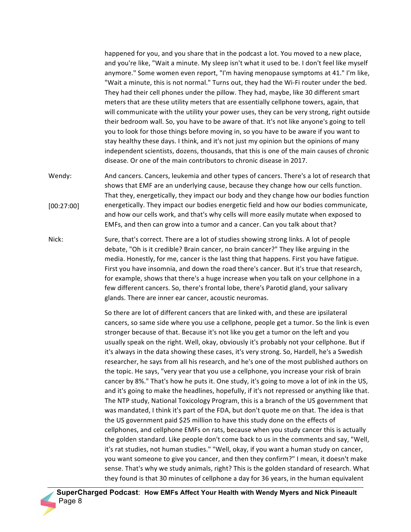happened for you, and you share that in the podcast a lot. You moved to a new place, and you're like, "Wait a minute. My sleep isn't what it used to be. I don't feel like myself anymore." Some women even report, "I'm having menopause symptoms at 41." I'm like, "Wait a minute, this is not normal." Turns out, they had the Wi-Fi router under the bed. They had their cell phones under the pillow. They had, maybe, like 30 different smart meters that are these utility meters that are essentially cellphone towers, again, that will communicate with the utility your power uses, they can be very strong, right outside their bedroom wall. So, you have to be aware of that. It's not like anyone's going to tell you to look for those things before moving in, so you have to be aware if you want to stay healthy these days. I think, and it's not just my opinion but the opinions of many independent scientists, dozens, thousands, that this is one of the main causes of chronic disease. Or one of the main contributors to chronic disease in 2017.

- Wendy: [00:27:00] And cancers. Cancers, leukemia and other types of cancers. There's a lot of research that shows that EMF are an underlying cause, because they change how our cells function. That they, energetically, they impact our body and they change how our bodies function energetically. They impact our bodies energetic field and how our bodies communicate, and how our cells work, and that's why cells will more easily mutate when exposed to EMFs, and then can grow into a tumor and a cancer. Can you talk about that?
- Nick: Sure, that's correct. There are a lot of studies showing strong links. A lot of people debate, "Oh is it credible? Brain cancer, no brain cancer?" They like arguing in the media. Honestly, for me, cancer is the last thing that happens. First you have fatigue. First you have insomnia, and down the road there's cancer. But it's true that research, for example, shows that there's a huge increase when you talk on your cellphone in a few different cancers. So, there's frontal lobe, there's Parotid gland, your salivary glands. There are inner ear cancer, acoustic neuromas.

So there are lot of different cancers that are linked with, and these are ipsilateral cancers, so same side where you use a cellphone, people get a tumor. So the link is even stronger because of that. Because it's not like you get a tumor on the left and you usually speak on the right. Well, okay, obviously it's probably not your cellphone. But if it's always in the data showing these cases, it's very strong. So, Hardell, he's a Swedish researcher, he says from all his research, and he's one of the most published authors on the topic. He says, "very year that you use a cellphone, you increase your risk of brain cancer by 8%." That's how he puts it. One study, it's going to move a lot of ink in the US, and it's going to make the headlines, hopefully, if it's not repressed or anything like that. The NTP study, National Toxicology Program, this is a branch of the US government that was mandated, I think it's part of the FDA, but don't quote me on that. The idea is that the US government paid \$25 million to have this study done on the effects of cellphones, and cellphone EMFs on rats, because when you study cancer this is actually the golden standard. Like people don't come back to us in the comments and say, "Well, it's rat studies, not human studies." "Well, okay, if you want a human study on cancer, you want someone to give you cancer, and then they confirm?" I mean, it doesn't make sense. That's why we study animals, right? This is the golden standard of research. What they found is that 30 minutes of cellphone a day for 36 years, in the human equivalent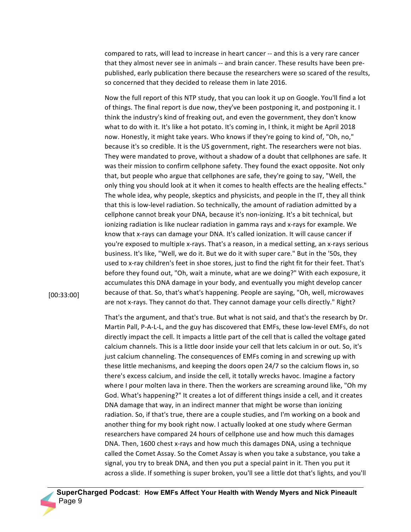compared to rats, will lead to increase in heart cancer -- and this is a very rare cancer that they almost never see in animals -- and brain cancer. These results have been prepublished, early publication there because the researchers were so scared of the results, so concerned that they decided to release them in late 2016.

Now the full report of this NTP study, that you can look it up on Google. You'll find a lot of things. The final report is due now, they've been postponing it, and postponing it. I think the industry's kind of freaking out, and even the government, they don't know what to do with it. It's like a hot potato. It's coming in, I think, it might be April 2018 now. Honestly, it might take years. Who knows if they're going to kind of, "Oh, no," because it's so credible. It is the US government, right. The researchers were not bias. They were mandated to prove, without a shadow of a doubt that cellphones are safe. It was their mission to confirm cellphone safety. They found the exact opposite. Not only that, but people who argue that cellphones are safe, they're going to say, "Well, the only thing you should look at it when it comes to health effects are the healing effects." The whole idea, why people, skeptics and physicists, and people in the IT, they all think that this is low-level radiation. So technically, the amount of radiation admitted by a cellphone cannot break your DNA, because it's non-ionizing. It's a bit technical, but ionizing radiation is like nuclear radiation in gamma rays and x-rays for example. We know that x-rays can damage your DNA. It's called ionization. It will cause cancer if you're exposed to multiple x-rays. That's a reason, in a medical setting, an x-rays serious business. It's like, "Well, we do it. But we do it with super care." But in the '50s, they used to x-ray children's feet in shoe stores, just to find the right fit for their feet. That's before they found out, "Oh, wait a minute, what are we doing?" With each exposure, it accumulates this DNA damage in your body, and eventually you might develop cancer because of that. So, that's what's happening. People are saying, "Oh, well, microwaves are not x-rays. They cannot do that. They cannot damage your cells directly." Right?

[00:33:00]

That's the argument, and that's true. But what is not said, and that's the research by Dr. Martin Pall, P-A-L-L, and the guy has discovered that EMFs, these low-level EMFs, do not directly impact the cell. It impacts a little part of the cell that is called the voltage gated calcium channels. This is a little door inside your cell that lets calcium in or out. So, it's just calcium channeling. The consequences of EMFs coming in and screwing up with these little mechanisms, and keeping the doors open 24/7 so the calcium flows in, so there's excess calcium, and inside the cell, it totally wrecks havoc. Imagine a factory where I pour molten lava in there. Then the workers are screaming around like, "Oh my God. What's happening?" It creates a lot of different things inside a cell, and it creates DNA damage that way, in an indirect manner that might be worse than ionizing radiation. So, if that's true, there are a couple studies, and I'm working on a book and another thing for my book right now. I actually looked at one study where German researchers have compared 24 hours of cellphone use and how much this damages DNA. Then, 1600 chest x-rays and how much this damages DNA, using a technique called the Comet Assay. So the Comet Assay is when you take a substance, you take a signal, you try to break DNA, and then you put a special paint in it. Then you put it across a slide. If something is super broken, you'll see a little dot that's lights, and you'll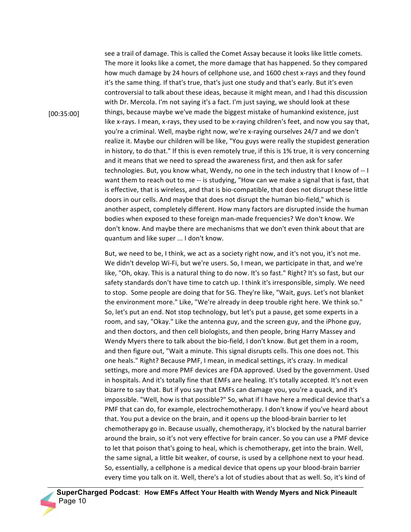see a trail of damage. This is called the Comet Assay because it looks like little comets. The more it looks like a comet, the more damage that has happened. So they compared how much damage by 24 hours of cellphone use, and 1600 chest x-rays and they found it's the same thing. If that's true, that's just one study and that's early. But it's even controversial to talk about these ideas, because it might mean, and I had this discussion with Dr. Mercola. I'm not saying it's a fact. I'm just saying, we should look at these things, because maybe we've made the biggest mistake of humankind existence, just like x-rays. I mean, x-rays, they used to be x-raying children's feet, and now you say that, you're a criminal. Well, maybe right now, we're x-raying ourselves 24/7 and we don't realize it. Maybe our children will be like, "You guys were really the stupidest generation in history, to do that." If this is even remotely true, if this is 1% true, it is very concerning and it means that we need to spread the awareness first, and then ask for safer technologies. But, you know what, Wendy, no one in the tech industry that I know of -- I want them to reach out to me -- is studying, "How can we make a signal that is fast, that is effective, that is wireless, and that is bio-compatible, that does not disrupt these little doors in our cells. And maybe that does not disrupt the human bio-field," which is another aspect, completely different. How many factors are disrupted inside the human bodies when exposed to these foreign man-made frequencies? We don't know. We don't know. And maybe there are mechanisms that we don't even think about that are quantum and like super ... I don't know.

But, we need to be, I think, we act as a society right now, and it's not you, it's not me. We didn't develop Wi-Fi, but we're users. So, I mean, we participate in that, and we're like, "Oh, okay. This is a natural thing to do now. It's so fast." Right? It's so fast, but our safety standards don't have time to catch up. I think it's irresponsible, simply. We need to stop. Some people are doing that for 5G. They're like, "Wait, guys. Let's not blanket the environment more." Like, "We're already in deep trouble right here. We think so." So, let's put an end. Not stop technology, but let's put a pause, get some experts in a room, and say, "Okay." Like the antenna guy, and the screen guy, and the iPhone guy, and then doctors, and then cell biologists, and then people, bring Harry Massey and Wendy Myers there to talk about the bio-field, I don't know. But get them in a room, and then figure out, "Wait a minute. This signal disrupts cells. This one does not. This one heals." Right? Because PMF, I mean, in medical settings, it's crazy. In medical settings, more and more PMF devices are FDA approved. Used by the government. Used in hospitals. And it's totally fine that EMFs are healing. It's totally accepted. It's not even bizarre to say that. But if you say that EMFs can damage you, you're a quack, and it's impossible. "Well, how is that possible?" So, what if I have here a medical device that's a PMF that can do, for example, electrochemotherapy. I don't know if you've heard about that. You put a device on the brain, and it opens up the blood-brain barrier to let chemotherapy go in. Because usually, chemotherapy, it's blocked by the natural barrier around the brain, so it's not very effective for brain cancer. So you can use a PMF device to let that poison that's going to heal, which is chemotherapy, get into the brain. Well, the same signal, a little bit weaker, of course, is used by a cellphone next to your head. So, essentially, a cellphone is a medical device that opens up your blood-brain barrier every time you talk on it. Well, there's a lot of studies about that as well. So, it's kind of

[00:35:00]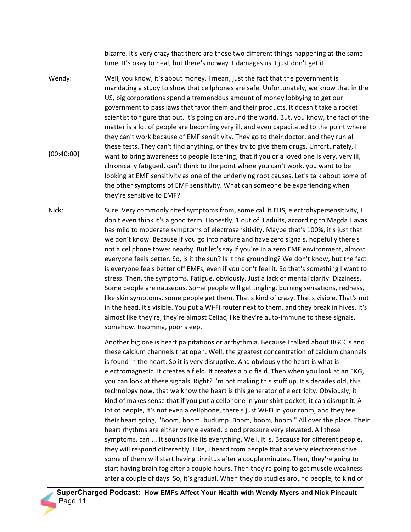bizarre. It's very crazy that there are these two different things happening at the same time. It's okay to heal, but there's no way it damages us. I just don't get it.

- Wendy: [00:40:00] Well, you know, it's about money. I mean, just the fact that the government is mandating a study to show that cellphones are safe. Unfortunately, we know that in the US, big corporations spend a tremendous amount of money lobbying to get our government to pass laws that favor them and their products. It doesn't take a rocket scientist to figure that out. It's going on around the world. But, you know, the fact of the matter is a lot of people are becoming very ill, and even capacitated to the point where they can't work because of EMF sensitivity. They go to their doctor, and they run all these tests. They can't find anything, or they try to give them drugs. Unfortunately, I want to bring awareness to people listening, that if you or a loved one is very, very ill, chronically fatigued, can't think to the point where you can't work, you want to be looking at EMF sensitivity as one of the underlying root causes. Let's talk about some of the other symptoms of EMF sensitivity. What can someone be experiencing when they're sensitive to EMF?
- Nick: Sure. Very commonly cited symptoms from, some call it EHS, electrohypersensitivity, I don't even think it's a good term. Honestly, 1 out of 3 adults, according to Magda Havas, has mild to moderate symptoms of electrosensitivity. Maybe that's 100%, it's just that we don't know. Because if you go into nature and have zero signals, hopefully there's not a cellphone tower nearby. But let's say if you're in a zero EMF environment, almost everyone feels better. So, is it the sun? Is it the grounding? We don't know, but the fact is everyone feels better off EMFs, even if you don't feel it. So that's something I want to stress. Then, the symptoms. Fatigue, obviously. Just a lack of mental clarity. Dizziness. Some people are nauseous. Some people will get tingling, burning sensations, redness, like skin symptoms, some people get them. That's kind of crazy. That's visible. That's not in the head, it's visible. You put a Wi-Fi router next to them, and they break in hives. It's almost like they're, they're almost Celiac, like they're auto-immune to these signals, somehow. Insomnia, poor sleep.

Another big one is heart palpitations or arrhythmia. Because I talked about BGCC's and these calcium channels that open. Well, the greatest concentration of calcium channels is found in the heart. So it is very disruptive. And obviously the heart is what is electromagnetic. It creates a field. It creates a bio field. Then when you look at an EKG, you can look at these signals. Right? I'm not making this stuff up. It's decades old, this technology now, that we know the heart is this generator of electricity. Obviously, it kind of makes sense that if you put a cellphone in your shirt pocket, it can disrupt it. A lot of people, it's not even a cellphone, there's just Wi-Fi in your room, and they feel their heart going, "Boom, boom, budump. Boom, boom, boom." All over the place. Their heart rhythms are either very elevated, blood pressure very elevated. All these symptoms, can ... It sounds like its everything. Well, it is. Because for different people, they will respond differently. Like, I heard from people that are very electrosensitive some of them will start having tinnitus after a couple minutes. Then, they're going to start having brain fog after a couple hours. Then they're going to get muscle weakness after a couple of days. So, it's gradual. When they do studies around people, to kind of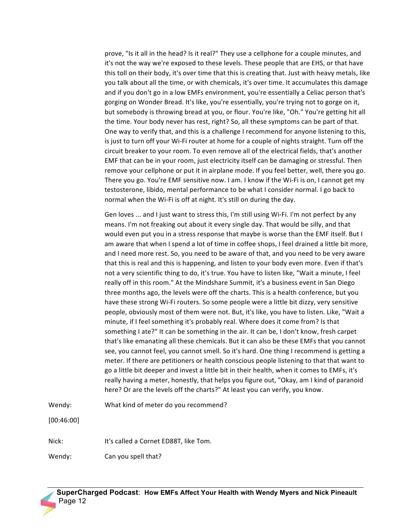prove, "Is it all in the head? Is it real?" They use a cellphone for a couple minutes, and it's not the way we're exposed to these levels. These people that are EHS, or that have this toll on their body, it's over time that this is creating that. Just with heavy metals, like you talk about all the time, or with chemicals, it's over time. It accumulates this damage and if you don't go in a low EMFs environment, you're essentially a Celiac person that's gorging on Wonder Bread. It's like, you're essentially, you're trying not to gorge on it, but somebody is throwing bread at you, or flour. You're like, "Oh." You're getting hit all the time. Your body never has rest, right? So, all these symptoms can be part of that. One way to verify that, and this is a challenge I recommend for anyone listening to this, is just to turn off your Wi-Fi router at home for a couple of nights straight. Turn off the circuit breaker to your room. To even remove all of the electrical fields, that's another EMF that can be in your room, just electricity itself can be damaging or stressful. Then remove your cellphone or put it in airplane mode. If you feel better, well, there you go. There you go. You're EMF sensitive now. I am. I know if the Wi-Fi is on, I cannot get my testosterone, libido, mental performance to be what I consider normal. I go back to normal when the Wi-Fi is off at night. It's still on during the day.

Gen loves ... and I just want to stress this, I'm still using Wi-Fi. I'm not perfect by any means. I'm not freaking out about it every single day. That would be silly, and that would even put you in a stress response that maybe is worse than the EMF itself. But I am aware that when I spend a lot of time in coffee shops, I feel drained a little bit more, and I need more rest. So, you need to be aware of that, and you need to be very aware that this is real and this is happening, and listen to your body even more. Even if that's not a very scientific thing to do, it's true. You have to listen like, "Wait a minute, I feel really off in this room." At the Mindshare Summit, it's a business event in San Diego three months ago, the levels were off the charts. This is a health conference, but you have these strong Wi-Fi routers. So some people were a little bit dizzy, very sensitive people, obviously most of them were not. But, it's like, you have to listen. Like, "Wait a minute, if I feel something it's probably real. Where does it come from? Is that something I ate?" It can be something in the air. It can be, I don't know, fresh carpet that's like emanating all these chemicals. But it can also be these EMFs that you cannot see, you cannot feel, you cannot smell. So it's hard. One thing I recommend is getting a meter. If there are petitioners or health conscious people listening to that that want to go a little bit deeper and invest a little bit in their health, when it comes to EMFs, it's really having a meter, honestly, that helps you figure out, "Okay, am I kind of paranoid here? Or are the levels off the charts?" At least you can verify, you know.

Wendy: What kind of meter do you recommend?

[00:46:00]

Nick: It's called a Cornet ED88T, like Tom.

Wendy: Can you spell that?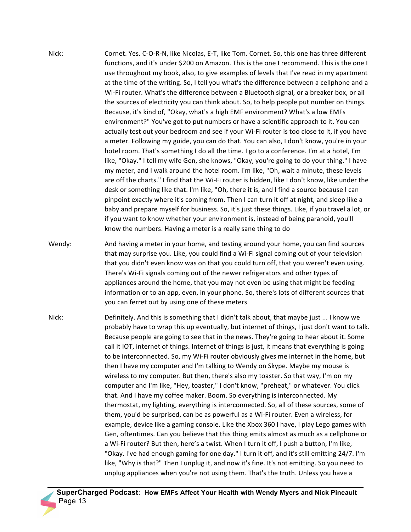- Nick: Cornet. Yes. C-O-R-N, like Nicolas, E-T, like Tom. Cornet. So, this one has three different functions, and it's under \$200 on Amazon. This is the one I recommend. This is the one I use throughout my book, also, to give examples of levels that I've read in my apartment at the time of the writing. So, I tell you what's the difference between a cellphone and a Wi-Fi router. What's the difference between a Bluetooth signal, or a breaker box, or all the sources of electricity you can think about. So, to help people put number on things. Because, it's kind of, "Okay, what's a high EMF environment? What's a low EMFs environment?" You've got to put numbers or have a scientific approach to it. You can actually test out your bedroom and see if your Wi-Fi router is too close to it, if you have a meter. Following my guide, you can do that. You can also, I don't know, you're in your hotel room. That's something I do all the time. I go to a conference. I'm at a hotel, I'm like, "Okay." I tell my wife Gen, she knows, "Okay, you're going to do your thing." I have my meter, and I walk around the hotel room. I'm like, "Oh, wait a minute, these levels are off the charts." I find that the Wi-Fi router is hidden, like I don't know, like under the desk or something like that. I'm like, "Oh, there it is, and I find a source because I can pinpoint exactly where it's coming from. Then I can turn it off at night, and sleep like a baby and prepare myself for business. So, it's just these things. Like, if you travel a lot, or if you want to know whether your environment is, instead of being paranoid, you'll know the numbers. Having a meter is a really sane thing to do
- Wendy: And having a meter in your home, and testing around your home, you can find sources that may surprise you. Like, you could find a Wi-Fi signal coming out of your television that you didn't even know was on that you could turn off, that you weren't even using. There's Wi-Fi signals coming out of the newer refrigerators and other types of appliances around the home, that you may not even be using that might be feeding information or to an app, even, in your phone. So, there's lots of different sources that you can ferret out by using one of these meters
- Nick: Definitely. And this is something that I didn't talk about, that maybe just ... I know we probably have to wrap this up eventually, but internet of things, I just don't want to talk. Because people are going to see that in the news. They're going to hear about it. Some call it IOT, internet of things. Internet of things is just, it means that everything is going to be interconnected. So, my Wi-Fi router obviously gives me internet in the home, but then I have my computer and I'm talking to Wendy on Skype. Maybe my mouse is wireless to my computer. But then, there's also my toaster. So that way, I'm on my computer and I'm like, "Hey, toaster," I don't know, "preheat," or whatever. You click that. And I have my coffee maker. Boom. So everything is interconnected. My thermostat, my lighting, everything is interconnected. So, all of these sources, some of them, you'd be surprised, can be as powerful as a Wi-Fi router. Even a wireless, for example, device like a gaming console. Like the Xbox 360 I have, I play Lego games with Gen, oftentimes. Can you believe that this thing emits almost as much as a cellphone or a Wi-Fi router? But then, here's a twist. When I turn it off, I push a button, I'm like, "Okay. I've had enough gaming for one day." I turn it off, and it's still emitting 24/7. I'm like, "Why is that?" Then I unplug it, and now it's fine. It's not emitting. So you need to unplug appliances when you're not using them. That's the truth. Unless you have a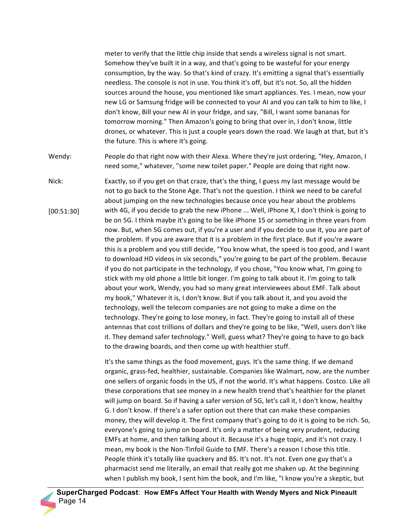meter to verify that the little chip inside that sends a wireless signal is not smart. Somehow they've built it in a way, and that's going to be wasteful for your energy consumption, by the way. So that's kind of crazy. It's emitting a signal that's essentially needless. The console is not in use. You think it's off, but it's not. So, all the hidden sources around the house, you mentioned like smart appliances. Yes. I mean, now your new LG or Samsung fridge will be connected to your AI and you can talk to him to like, I don't know, Bill your new AI in your fridge, and say, "Bill, I want some bananas for tomorrow morning." Then Amazon's going to bring that over in, I don't know, little drones, or whatever. This is just a couple years down the road. We laugh at that, but it's the future. This is where it's going.

Wendy: People do that right now with their Alexa. Where they're just ordering, "Hey, Amazon, I need some," whatever, "some new toilet paper." People are doing that right now.

Nick: [00:51:30] Exactly, so if you get on that craze, that's the thing, I guess my last message would be not to go back to the Stone Age. That's not the question. I think we need to be careful about jumping on the new technologies because once you hear about the problems with 4G, if you decide to grab the new iPhone ... Well, iPhone X, I don't think is going to be on 5G. I think maybe it's going to be like iPhone 15 or something in three years from now. But, when 5G comes out, if you're a user and if you decide to use it, you are part of the problem. If you are aware that it is a problem in the first place. But if you're aware this is a problem and you still decide, "You know what, the speed is too good, and I want to download HD videos in six seconds," you're going to be part of the problem. Because if you do not participate in the technology, if you chose, "You know what, I'm going to stick with my old phone a little bit longer. I'm going to talk about it. I'm going to talk about your work, Wendy, you had so many great interviewees about EMF. Talk about my book," Whatever it is, I don't know. But if you talk about it, and you avoid the technology, well the telecom companies are not going to make a dime on the technology. They're going to lose money, in fact. They're going to install all of these antennas that cost trillions of dollars and they're going to be like, "Well, users don't like it. They demand safer technology." Well, guess what? They're going to have to go back to the drawing boards, and then come up with healthier stuff.

> It's the same things as the food movement, guys. It's the same thing. If we demand organic, grass-fed, healthier, sustainable. Companies like Walmart, now, are the number one sellers of organic foods in the US, if not the world. It's what happens. Costco. Like all these corporations that see money in a new health trend that's healthier for the planet will jump on board. So if having a safer version of 5G, let's call it, I don't know, healthy G. I don't know. If there's a safer option out there that can make these companies money, they will develop it. The first company that's going to do it is going to be rich. So, everyone's going to jump on board. It's only a matter of being very prudent, reducing EMFs at home, and then talking about it. Because it's a huge topic, and it's not crazy. I mean, my book is the Non-Tinfoil Guide to EMF. There's a reason I chose this title. People think it's totally like quackery and BS. It's not. It's not. Even one guy that's a pharmacist send me literally, an email that really got me shaken up. At the beginning when I publish my book, I sent him the book, and I'm like, "I know you're a skeptic, but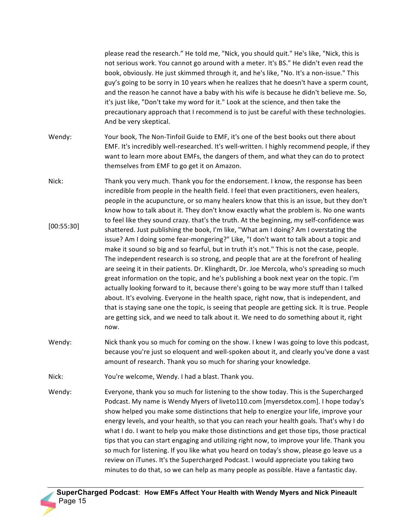please read the research." He told me, "Nick, you should quit." He's like, "Nick, this is not serious work. You cannot go around with a meter. It's BS." He didn't even read the book, obviously. He just skimmed through it, and he's like, "No. It's a non-issue." This guy's going to be sorry in 10 years when he realizes that he doesn't have a sperm count, and the reason he cannot have a baby with his wife is because he didn't believe me. So, it's just like, "Don't take my word for it." Look at the science, and then take the precautionary approach that I recommend is to just be careful with these technologies. And be very skeptical.

- Wendy: Your book, The Non-Tinfoil Guide to EMF, it's one of the best books out there about EMF. It's incredibly well-researched. It's well-written. I highly recommend people, if they want to learn more about EMFs, the dangers of them, and what they can do to protect themselves from EMF to go get it on Amazon.
- Nick: [00:55:30] Thank you very much. Thank you for the endorsement. I know, the response has been incredible from people in the health field. I feel that even practitioners, even healers, people in the acupuncture, or so many healers know that this is an issue, but they don't know how to talk about it. They don't know exactly what the problem is. No one wants to feel like they sound crazy. that's the truth. At the beginning, my self-confidence was shattered. Just publishing the book, I'm like, "What am I doing? Am I overstating the issue? Am I doing some fear-mongering?" Like, "I don't want to talk about a topic and make it sound so big and so fearful, but in truth it's not." This is not the case, people. The independent research is so strong, and people that are at the forefront of healing are seeing it in their patients. Dr. Klinghardt, Dr. Joe Mercola, who's spreading so much great information on the topic, and he's publishing a book next year on the topic. I'm actually looking forward to it, because there's going to be way more stuff than I talked about. It's evolving. Everyone in the health space, right now, that is independent, and that is staying sane one the topic, is seeing that people are getting sick. It is true. People are getting sick, and we need to talk about it. We need to do something about it, right now.
- Wendy: Nick thank you so much for coming on the show. I knew I was going to love this podcast, because you're just so eloquent and well-spoken about it, and clearly you've done a vast amount of research. Thank you so much for sharing your knowledge.

Nick: You're welcome, Wendy. I had a blast. Thank you.

Wendy: Everyone, thank you so much for listening to the show today. This is the Supercharged Podcast. My name is Wendy Myers of liveto110.com [myersdetox.com]. I hope today's show helped you make some distinctions that help to energize your life, improve your energy levels, and your health, so that you can reach your health goals. That's why I do what I do. I want to help you make those distinctions and get those tips, those practical tips that you can start engaging and utilizing right now, to improve your life. Thank you so much for listening. If you like what you heard on today's show, please go leave us a review on iTunes. It's the Supercharged Podcast. I would appreciate you taking two minutes to do that, so we can help as many people as possible. Have a fantastic day.